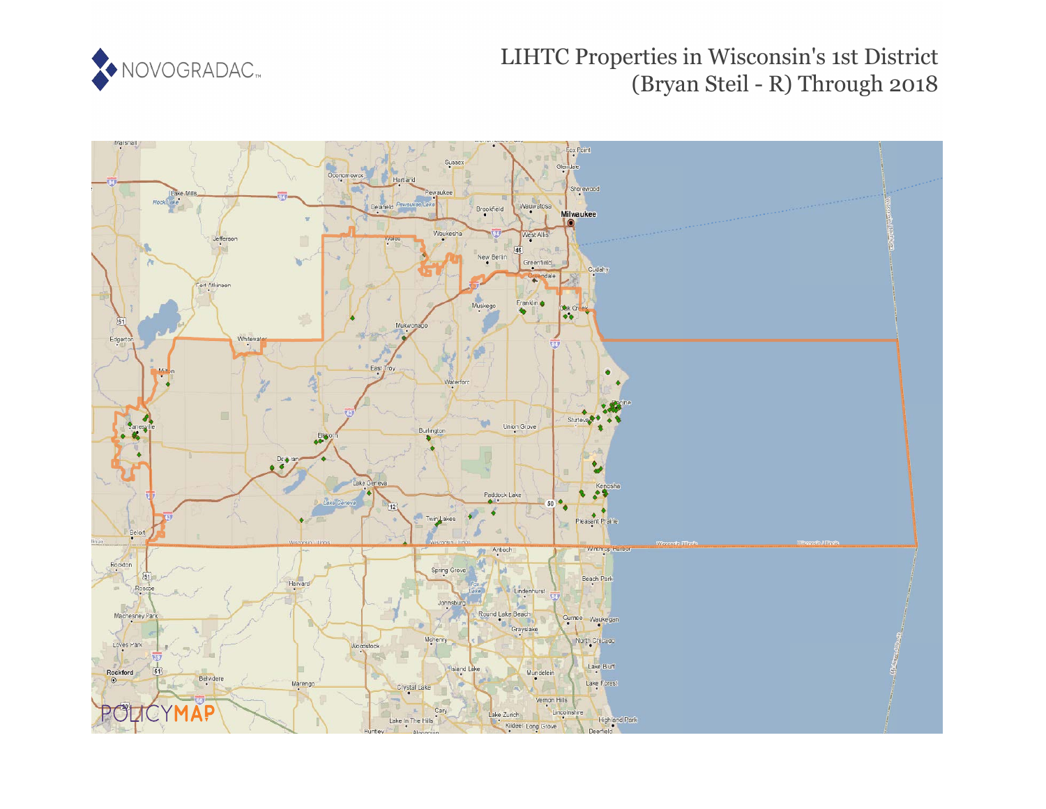

# LIHTC Properties in Wisconsin's 1st District (Bryan Steil - R) Through 2018

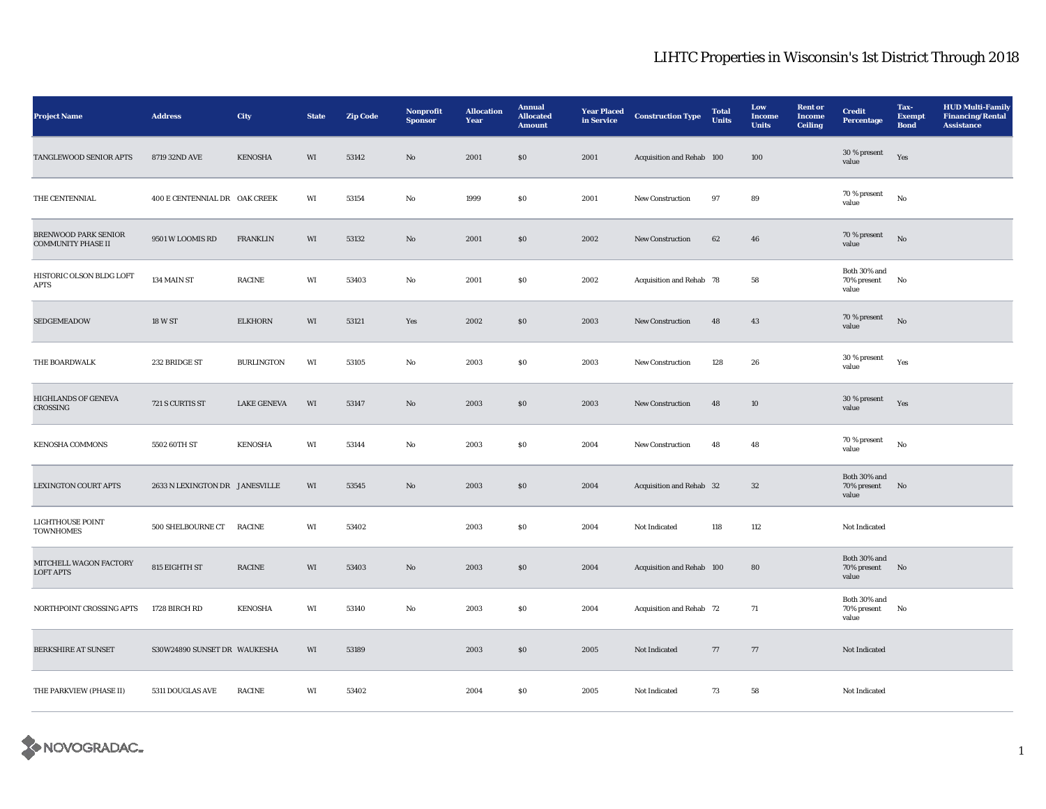| <b>Project Name</b>                                      | <b>Address</b>                 | City               | <b>State</b>           | <b>Zip Code</b> | Nonprofit<br><b>Sponsor</b> | <b>Allocation</b><br>Year | <b>Annual</b><br><b>Allocated</b><br><b>Amount</b> | <b>Year Placed</b><br>in Service | <b>Construction Type</b>  | <b>Total</b><br><b>Units</b> | Low<br><b>Income</b><br><b>Units</b> | <b>Rent or</b><br><b>Income</b><br><b>Ceiling</b> | <b>Credit</b><br><b>Percentage</b>   | Tax-<br><b>Exempt</b><br><b>Bond</b> | <b>HUD Multi-Family</b><br><b>Financing/Rental</b><br><b>Assistance</b> |
|----------------------------------------------------------|--------------------------------|--------------------|------------------------|-----------------|-----------------------------|---------------------------|----------------------------------------------------|----------------------------------|---------------------------|------------------------------|--------------------------------------|---------------------------------------------------|--------------------------------------|--------------------------------------|-------------------------------------------------------------------------|
| TANGLEWOOD SENIOR APTS                                   | 8719 32ND AVE                  | KENOSHA            | WI                     | 53142           | No                          | 2001                      | $\$0$                                              | 2001                             | Acquisition and Rehab 100 |                              | 100                                  |                                                   | 30 % present<br>value                | Yes                                  |                                                                         |
| THE CENTENNIAL                                           | 400 E CENTENNIAL DR OAK CREEK  |                    | WI                     | 53154           | No                          | 1999                      | S <sub>0</sub>                                     | 2001                             | <b>New Construction</b>   | 97                           | 89                                   |                                                   | 70 % present<br>value                | $\rm No$                             |                                                                         |
| <b>BRENWOOD PARK SENIOR</b><br><b>COMMUNITY PHASE II</b> | 9501 W LOOMIS RD               | <b>FRANKLIN</b>    | WI                     | 53132           | No                          | 2001                      | S <sub>0</sub>                                     | 2002                             | New Construction          | 62                           | 46                                   |                                                   | 70 % present<br>value                | No                                   |                                                                         |
| HISTORIC OLSON BLDG LOFT<br><b>APTS</b>                  | 134 MAIN ST                    | <b>RACINE</b>      | $\mathbf{W}\mathbf{I}$ | 53403           | No                          | 2001                      | S <sub>0</sub>                                     | 2002                             | Acquisition and Rehab 78  |                              | 58                                   |                                                   | Both 30% and<br>70% present<br>value | No                                   |                                                                         |
| SEDGEMEADOW                                              | 18 W ST                        | <b>ELKHORN</b>     | WI                     | 53121           | Yes                         | 2002                      | \$0\$                                              | 2003                             | <b>New Construction</b>   | 48                           | 43                                   |                                                   | $70\,\%$ present<br>value            | No                                   |                                                                         |
| THE BOARDWALK                                            | 232 BRIDGE ST                  | <b>BURLINGTON</b>  | WI                     | 53105           | No                          | 2003                      | $\$0$                                              | 2003                             | <b>New Construction</b>   | 128                          | ${\bf 26}$                           |                                                   | $30$ % present<br>value              | Yes                                  |                                                                         |
| <b>HIGHLANDS OF GENEVA</b><br>CROSSING                   | 721 S CURTIS ST                | <b>LAKE GENEVA</b> | WI                     | 53147           | No                          | 2003                      | \$0\$                                              | 2003                             | <b>New Construction</b>   | 48                           | 10                                   |                                                   | 30 % present<br>value                | Yes                                  |                                                                         |
| <b>KENOSHA COMMONS</b>                                   | 5502 60TH ST                   | <b>KENOSHA</b>     | WI                     | 53144           | No                          | 2003                      | $\boldsymbol{\mathsf{S}}\boldsymbol{\mathsf{0}}$   | 2004                             | New Construction          | 48                           | 48                                   |                                                   | 70 % present<br>value                | $_{\rm No}$                          |                                                                         |
| <b>LEXINGTON COURT APTS</b>                              | 2633 N LEXINGTON DR JANESVILLE |                    | WI                     | 53545           | No                          | 2003                      | \$0                                                | 2004                             | Acquisition and Rehab 32  |                              | $32\,$                               |                                                   | Both 30% and<br>70% present<br>value | No                                   |                                                                         |
| LIGHTHOUSE POINT<br><b>TOWNHOMES</b>                     | 500 SHELBOURNE CT              | <b>RACINE</b>      | WI                     | 53402           |                             | 2003                      | S <sub>0</sub>                                     | 2004                             | Not Indicated             | 118                          | 112                                  |                                                   | Not Indicated                        |                                      |                                                                         |
| MITCHELL WAGON FACTORY<br><b>LOFT APTS</b>               | 815 EIGHTH ST                  | RACINE             | WI                     | 53403           | No                          | 2003                      | \$0\$                                              | 2004                             | Acquisition and Rehab 100 |                              | 80                                   |                                                   | Both 30% and<br>70% present<br>value | No                                   |                                                                         |
| NORTHPOINT CROSSING APTS                                 | 1728 BIRCH RD                  | <b>KENOSHA</b>     | WI                     | 53140           | $_{\rm No}$                 | 2003                      | S <sub>0</sub>                                     | 2004                             | Acquisition and Rehab 72  |                              | $71\,$                               |                                                   | Both 30% and<br>70% present<br>value | No                                   |                                                                         |
| <b>BERKSHIRE AT SUNSET</b>                               | S30W24890 SUNSET DR WAUKESHA   |                    | WI                     | 53189           |                             | 2003                      | \$0\$                                              | 2005                             | Not Indicated             | 77                           | 77                                   |                                                   | Not Indicated                        |                                      |                                                                         |
| THE PARKVIEW (PHASE II)                                  | 5311 DOUGLAS AVE               | <b>RACINE</b>      | WI                     | 53402           |                             | 2004                      | S <sub>0</sub>                                     | 2005                             | Not Indicated             | 73                           | 58                                   |                                                   | Not Indicated                        |                                      |                                                                         |

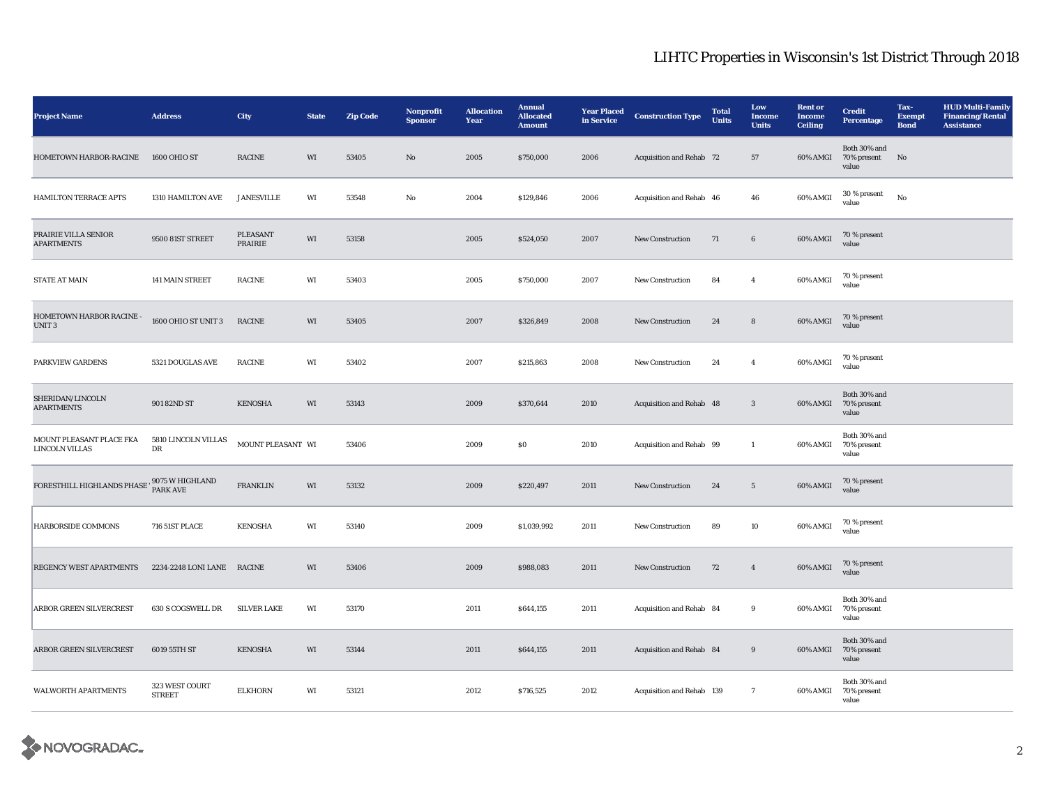| <b>Project Name</b>                               | <b>Address</b>                  | City                    | <b>State</b> | <b>Zip Code</b> | Nonprofit<br><b>Sponsor</b> | <b>Allocation</b><br>Year | <b>Annual</b><br><b>Allocated</b><br><b>Amount</b> | <b>Year Placed</b><br>in Service | <b>Construction Type</b>  | <b>Total</b><br>Units | Low<br><b>Income</b><br><b>Units</b> | <b>Rent or</b><br><b>Income</b><br><b>Ceiling</b> | <b>Credit</b><br><b>Percentage</b>      | Tax-<br><b>Exempt</b><br><b>Bond</b> | <b>HUD Multi-Family</b><br><b>Financing/Rental</b><br><b>Assistance</b> |
|---------------------------------------------------|---------------------------------|-------------------------|--------------|-----------------|-----------------------------|---------------------------|----------------------------------------------------|----------------------------------|---------------------------|-----------------------|--------------------------------------|---------------------------------------------------|-----------------------------------------|--------------------------------------|-------------------------------------------------------------------------|
| HOMETOWN HARBOR-RACINE                            | 1600 OHIO ST                    | $\operatorname{RACINE}$ | WI           | 53405           | $\rm No$                    | 2005                      | \$750,000                                          | 2006                             | Acquisition and Rehab 72  |                       | 57                                   | 60% AMGI                                          | Both 30% and<br>70% present No<br>value |                                      |                                                                         |
| HAMILTON TERRACE APTS                             | 1310 HAMILTON AVE               | <b>JANESVILLE</b>       | WI           | 53548           | No                          | 2004                      | \$129,846                                          | 2006                             | Acquisition and Rehab 46  |                       | 46                                   | 60% AMGI                                          | $30\,\%$ present<br>value               | No                                   |                                                                         |
| PRAIRIE VILLA SENIOR<br><b>APARTMENTS</b>         | 9500 81ST STREET                | PLEASANT<br>PRAIRIE     | WI           | 53158           |                             | 2005                      | \$524,050                                          | 2007                             | New Construction          | 71                    | $6\phantom{.0}$                      | 60% AMGI                                          | 70 % present<br>value                   |                                      |                                                                         |
| <b>STATE AT MAIN</b>                              | 141 MAIN STREET                 | <b>RACINE</b>           | WI           | 53403           |                             | 2005                      | \$750,000                                          | 2007                             | <b>New Construction</b>   | 84                    | $\overline{4}$                       | 60% AMGI                                          | 70 % present<br>value                   |                                      |                                                                         |
| HOMETOWN HARBOR RACINE -<br>UNIT <sub>3</sub>     | 1600 OHIO ST UNIT 3             | <b>RACINE</b>           | WI           | 53405           |                             | 2007                      | \$326,849                                          | 2008                             | New Construction          | 24                    | $\bf8$                               | 60% AMGI                                          | 70 % present<br>value                   |                                      |                                                                         |
| PARKVIEW GARDENS                                  | 5321 DOUGLAS AVE                | RACINE                  | WI           | 53402           |                             | 2007                      | \$215,863                                          | 2008                             | New Construction          | 24                    | $\overline{4}$                       | 60% AMGI                                          | 70 % present<br>value                   |                                      |                                                                         |
| SHERIDAN/LINCOLN<br><b>APARTMENTS</b>             | 901 82ND ST                     | <b>KENOSHA</b>          | WI           | 53143           |                             | 2009                      | \$370,644                                          | 2010                             | Acquisition and Rehab 48  |                       | $\mathbf{3}$                         | 60% AMGI                                          | Both 30% and<br>70% present<br>value    |                                      |                                                                         |
| MOUNT PLEASANT PLACE FKA<br><b>LINCOLN VILLAS</b> | $5810$ LINCOLN VILLAS<br>DR     | MOUNT PLEASANT WI       |              | 53406           |                             | 2009                      | \$0\$                                              | 2010                             | Acquisition and Rehab 99  |                       | $\mathbf{1}$                         | 60% AMGI                                          | Both 30% and<br>70% present<br>value    |                                      |                                                                         |
| FORESTHILL HIGHLANDS PHASE 19075 W HIGHLAND       |                                 | <b>FRANKLIN</b>         | WI           | 53132           |                             | 2009                      | \$220,497                                          | 2011                             | <b>New Construction</b>   | 24                    | $5\overline{ }$                      | 60% AMGI                                          | 70 % present<br>value                   |                                      |                                                                         |
| HARBORSIDE COMMONS                                | 716 51ST PLACE                  | <b>KENOSHA</b>          | WI           | 53140           |                             | 2009                      | \$1,039,992                                        | 2011                             | New Construction          | 89                    | 10                                   | 60% AMGI                                          | 70 % present<br>value                   |                                      |                                                                         |
| <b>REGENCY WEST APARTMENTS</b>                    | 2234-2248 LONI LANE RACINE      |                         | WI           | 53406           |                             | 2009                      | \$988,083                                          | 2011                             | New Construction          | 72                    | $\overline{4}$                       | 60% AMGI                                          | 70 % present<br>value                   |                                      |                                                                         |
| <b>ARBOR GREEN SILVERCREST</b>                    | 630 S COGSWELL DR               | <b>SILVER LAKE</b>      | WI           | 53170           |                             | 2011                      | \$644,155                                          | 2011                             | Acquisition and Rehab 84  |                       | 9                                    | 60% AMGI                                          | Both 30% and<br>70% present<br>value    |                                      |                                                                         |
| ARBOR GREEN SILVERCREST                           | 6019 55TH ST                    | <b>KENOSHA</b>          | WI           | 53144           |                             | 2011                      | \$644,155                                          | 2011                             | Acquisition and Rehab 84  |                       | $9\,$                                | 60% AMGI                                          | Both 30% and<br>70% present<br>value    |                                      |                                                                         |
| <b>WALWORTH APARTMENTS</b>                        | 323 WEST COURT<br><b>STREET</b> | <b>ELKHORN</b>          | WI           | 53121           |                             | 2012                      | \$716,525                                          | 2012                             | Acquisition and Rehab 139 |                       | $\mathbf{7}$                         | 60% AMGI                                          | Both 30% and<br>70% present<br>value    |                                      |                                                                         |

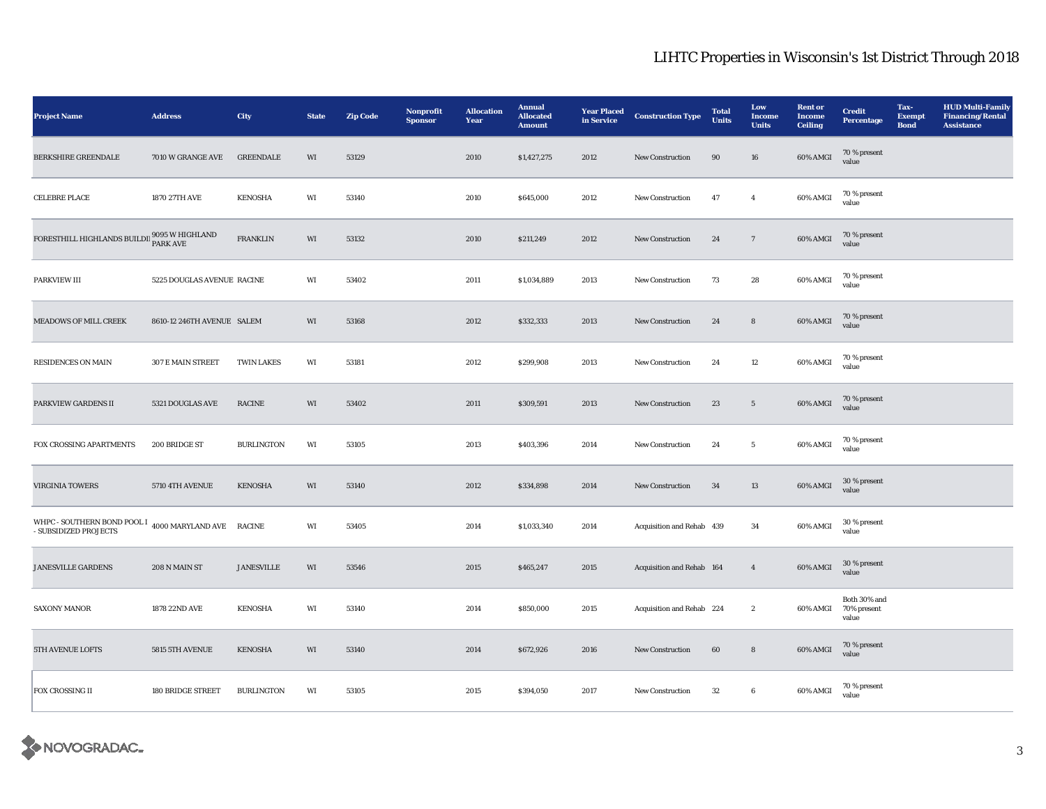| <b>Project Name</b>                                                                          | <b>Address</b>             | City              | <b>State</b>           | <b>Zip Code</b> | Nonprofit<br><b>Sponsor</b> | <b>Allocation</b><br>Year | <b>Annual</b><br><b>Allocated</b><br><b>Amount</b> | <b>Year Placed</b><br>in Service | <b>Construction Type</b>  | <b>Total</b><br><b>Units</b> | Low<br>Income<br><b>Units</b> | <b>Rent</b> or<br><b>Income</b><br><b>Ceiling</b> | <b>Credit</b><br><b>Percentage</b>   | Tax-<br><b>Exempt</b><br><b>Bond</b> | <b>HUD Multi-Family</b><br><b>Financing/Rental</b><br><b>Assistance</b> |
|----------------------------------------------------------------------------------------------|----------------------------|-------------------|------------------------|-----------------|-----------------------------|---------------------------|----------------------------------------------------|----------------------------------|---------------------------|------------------------------|-------------------------------|---------------------------------------------------|--------------------------------------|--------------------------------------|-------------------------------------------------------------------------|
| BERKSHIRE GREENDALE                                                                          | 7010 W GRANGE AVE          | <b>GREENDALE</b>  | WI                     | 53129           |                             | 2010                      | \$1,427,275                                        | 2012                             | New Construction          | 90                           | 16                            | 60% AMGI                                          | 70 % present<br>value                |                                      |                                                                         |
| CELEBRE PLACE                                                                                | 1870 27TH AVE              | <b>KENOSHA</b>    | WI                     | 53140           |                             | 2010                      | \$645,000                                          | 2012                             | <b>New Construction</b>   | 47                           | $\overline{4}$                | 60% AMGI                                          | 70 % present<br>value                |                                      |                                                                         |
| FORESTHILL HIGHLANDS BUILDII $_{\mbox{\small{PARK AVE}}}^{9095}$ W HIGHLAND                  |                            | <b>FRANKLIN</b>   | WI                     | 53132           |                             | 2010                      | \$211,249                                          | 2012                             | New Construction          | 24                           | $7\phantom{.0}$               | 60% AMGI                                          | 70 % present<br>value                |                                      |                                                                         |
| PARKVIEW III                                                                                 | 5225 DOUGLAS AVENUE RACINE |                   | WI                     | 53402           |                             | 2011                      | \$1,034,889                                        | 2013                             | New Construction          | 73                           | 28                            | 60% AMGI                                          | 70 % present<br>value                |                                      |                                                                         |
| MEADOWS OF MILL CREEK                                                                        | 8610-12 246TH AVENUE SALEM |                   | WI                     | 53168           |                             | 2012                      | \$332,333                                          | 2013                             | New Construction          | 24                           | $\bf8$                        | 60% AMGI                                          | 70 % present<br>value                |                                      |                                                                         |
| RESIDENCES ON MAIN                                                                           | 307 E MAIN STREET          | <b>TWIN LAKES</b> | WI                     | 53181           |                             | 2012                      | \$299,908                                          | 2013                             | New Construction          | 24                           | 12                            | 60% AMGI                                          | 70 % present<br>value                |                                      |                                                                         |
| PARKVIEW GARDENS II                                                                          | 5321 DOUGLAS AVE           | <b>RACINE</b>     | WI                     | 53402           |                             | 2011                      | \$309,591                                          | 2013                             | New Construction          | 23                           | $5\phantom{.0}$               | 60% AMGI                                          | 70 % present<br>value                |                                      |                                                                         |
| FOX CROSSING APARTMENTS                                                                      | 200 BRIDGE ST              | <b>BURLINGTON</b> | WI                     | 53105           |                             | 2013                      | \$403,396                                          | 2014                             | New Construction          | 24                           | $5\phantom{.0}$               | 60% AMGI                                          | 70 % present<br>value                |                                      |                                                                         |
| <b>VIRGINIA TOWERS</b>                                                                       | 5710 4TH AVENUE            | <b>KENOSHA</b>    | WI                     | 53140           |                             | 2012                      | \$334,898                                          | 2014                             | <b>New Construction</b>   | 34                           | 13                            | 60% AMGI                                          | 30 % present<br>value                |                                      |                                                                         |
| WHPC - SOUTHERN BOND POOL I $_{4000}$ MARYLAND AVE $\,$ RACINE $\,$<br>- SUBSIDIZED PROJECTS |                            |                   | $\mathbf{W}\mathbf{I}$ | 53405           |                             | 2014                      | \$1,033,340                                        | 2014                             | Acquisition and Rehab 439 |                              | 34                            | 60% AMGI                                          | 30 % present<br>value                |                                      |                                                                         |
| <b>JANESVILLE GARDENS</b>                                                                    | 208 N MAIN ST              | <b>JANESVILLE</b> | WI                     | 53546           |                             | 2015                      | \$465,247                                          | 2015                             | Acquisition and Rehab 164 |                              | $\overline{4}$                | $60\%$ AMGI                                       | 30 % present<br>value                |                                      |                                                                         |
| <b>SAXONY MANOR</b>                                                                          | 1878 22ND AVE              | <b>KENOSHA</b>    | WI                     | 53140           |                             | 2014                      | \$850,000                                          | 2015                             | Acquisition and Rehab 224 |                              | $\boldsymbol{2}$              | 60% AMGI                                          | Both 30% and<br>70% present<br>value |                                      |                                                                         |
| 5TH AVENUE LOFTS                                                                             | 5815 5TH AVENUE            | <b>KENOSHA</b>    | WI                     | 53140           |                             | 2014                      | \$672,926                                          | 2016                             | New Construction          | 60                           | $\bf8$                        | 60% AMGI                                          | 70 % present<br>value                |                                      |                                                                         |
| FOX CROSSING II                                                                              | <b>180 BRIDGE STREET</b>   | <b>BURLINGTON</b> | WI                     | 53105           |                             | 2015                      | \$394,050                                          | 2017                             | New Construction          | 32                           | 6                             | 60% AMGI                                          | 70 % present<br>value                |                                      |                                                                         |

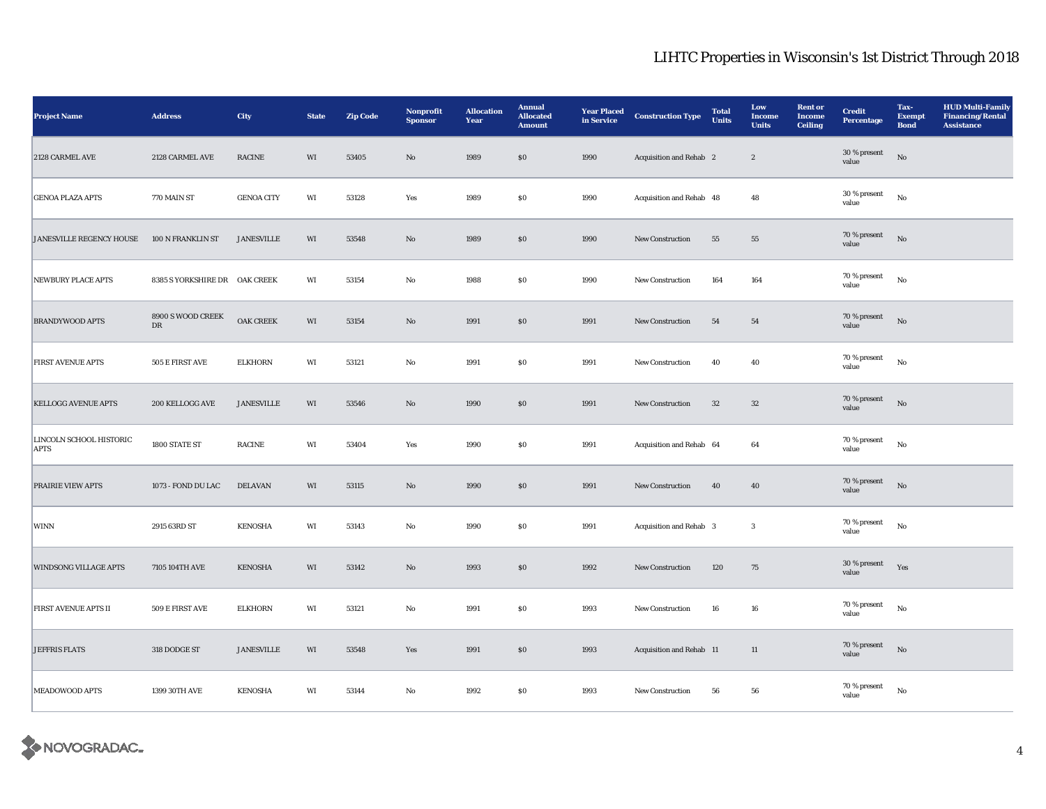| <b>Project Name</b>                    | <b>Address</b>                        | City                    | <b>State</b> | <b>Zip Code</b> | Nonprofit<br><b>Sponsor</b> | <b>Allocation</b><br>Year | <b>Annual</b><br><b>Allocated</b><br><b>Amount</b> | <b>Year Placed</b><br>in Service | <b>Construction Type</b> | <b>Total</b><br><b>Units</b> | Low<br><b>Income</b><br><b>Units</b> | <b>Rent or</b><br><b>Income</b><br><b>Ceiling</b> | <b>Credit</b><br><b>Percentage</b> | Tax-<br><b>Exempt</b><br><b>Bond</b> | <b>HUD Multi-Family</b><br><b>Financing/Rental</b><br><b>Assistance</b> |
|----------------------------------------|---------------------------------------|-------------------------|--------------|-----------------|-----------------------------|---------------------------|----------------------------------------------------|----------------------------------|--------------------------|------------------------------|--------------------------------------|---------------------------------------------------|------------------------------------|--------------------------------------|-------------------------------------------------------------------------|
| 2128 CARMEL AVE                        | 2128 CARMEL AVE                       | $\operatorname{RACINE}$ | WI           | 53405           | $\rm No$                    | 1989                      | $\$0$                                              | 1990                             | Acquisition and Rehab 2  |                              | $\boldsymbol{2}$                     |                                                   | 30 % present<br>value              | $_{\rm No}$                          |                                                                         |
| <b>GENOA PLAZA APTS</b>                | 770 MAIN ST                           | <b>GENOA CITY</b>       | WI           | 53128           | Yes                         | 1989                      | $\$0$                                              | 1990                             | Acquisition and Rehab 48 |                              | 48                                   |                                                   | 30 % present<br>value              | $_{\rm No}$                          |                                                                         |
| JANESVILLE REGENCY HOUSE               | 100 N FRANKLIN ST                     | <b>JANESVILLE</b>       | WI           | 53548           | $\mathbf{No}$               | 1989                      | \$0                                                | 1990                             | New Construction         | 55                           | 55                                   |                                                   | $70$ % present<br>value            | No                                   |                                                                         |
| <b>NEWBURY PLACE APTS</b>              | 8385 S YORKSHIRE DR OAK CREEK         |                         | WI           | 53154           | $\mathbf {No}$              | 1988                      | ${\bf S0}$                                         | 1990                             | New Construction         | 164                          | 164                                  |                                                   | 70 % present<br>value              | $_{\rm No}$                          |                                                                         |
| <b>BRANDYWOOD APTS</b>                 | 8900 S WOOD CREEK<br>${\rm D}{\rm R}$ | OAK CREEK               | WI           | 53154           | $\rm\thinspace No$          | 1991                      | $\$0$                                              | 1991                             | New Construction         | ${\bf 54}$                   | 54                                   |                                                   | 70 % present<br>value              | No                                   |                                                                         |
| <b>FIRST AVENUE APTS</b>               | 505 E FIRST AVE                       | <b>ELKHORN</b>          | WI           | 53121           | No                          | 1991                      | \$0                                                | 1991                             | New Construction         | 40                           | 40                                   |                                                   | 70 % present<br>value              | $_{\rm No}$                          |                                                                         |
| <b>KELLOGG AVENUE APTS</b>             | 200 KELLOGG AVE                       | <b>JANESVILLE</b>       | WI           | 53546           | $\mathbf{No}$               | 1990                      | $\$0$                                              | 1991                             | New Construction         | 32                           | 32                                   |                                                   | 70 % present<br>value              | $_{\rm No}$                          |                                                                         |
| LINCOLN SCHOOL HISTORIC<br><b>APTS</b> | 1800 STATE ST                         | <b>RACINE</b>           | WI           | 53404           | Yes                         | 1990                      | $\$0$                                              | 1991                             | Acquisition and Rehab 64 |                              | 64                                   |                                                   | 70 % present<br>value              | $_{\rm No}$                          |                                                                         |
| <b>PRAIRIE VIEW APTS</b>               | 1073 - FOND DU LAC                    | <b>DELAVAN</b>          | WI           | 53115           | No                          | 1990                      | \$0                                                | 1991                             | <b>New Construction</b>  | 40                           | 40                                   |                                                   | $70$ % present<br>value            | $_{\rm No}$                          |                                                                         |
| WINN                                   | 2915 63RD ST                          | <b>KENOSHA</b>          | WI           | 53143           | $\mathbf{No}$               | 1990                      | $\$0$                                              | 1991                             | Acquisition and Rehab 3  |                              | $\bf 3$                              |                                                   | 70 % present<br>value              | $_{\rm No}$                          |                                                                         |
| <b>WINDSONG VILLAGE APTS</b>           | 7105 104TH AVE                        | <b>KENOSHA</b>          | WI           | 53142           | $\mathbf{N}\mathbf{o}$      | 1993                      | \$0                                                | 1992                             | New Construction         | 120                          | 75                                   |                                                   | 30 % present<br>value              | Yes                                  |                                                                         |
| <b>FIRST AVENUE APTS II</b>            | 509 E FIRST AVE                       | <b>ELKHORN</b>          | WI           | 53121           | No                          | 1991                      | <b>SO</b>                                          | 1993                             | <b>New Construction</b>  | 16                           | 16                                   |                                                   | 70 % present<br>value              | $_{\rm No}$                          |                                                                         |
| <b>JEFFRIS FLATS</b>                   | 318 DODGE ST                          | <b>JANESVILLE</b>       | WI           | 53548           | Yes                         | 1991                      | $\$0$                                              | 1993                             | Acquisition and Rehab 11 |                              | 11                                   |                                                   | 70 % present<br>value              | No                                   |                                                                         |
| MEADOWOOD APTS                         | 1399 30TH AVE                         | <b>KENOSHA</b>          | WI           | 53144           | No                          | 1992                      | $\$0$                                              | 1993                             | New Construction         | 56                           | 56                                   |                                                   | 70 % present<br>value              | $_{\rm No}$                          |                                                                         |

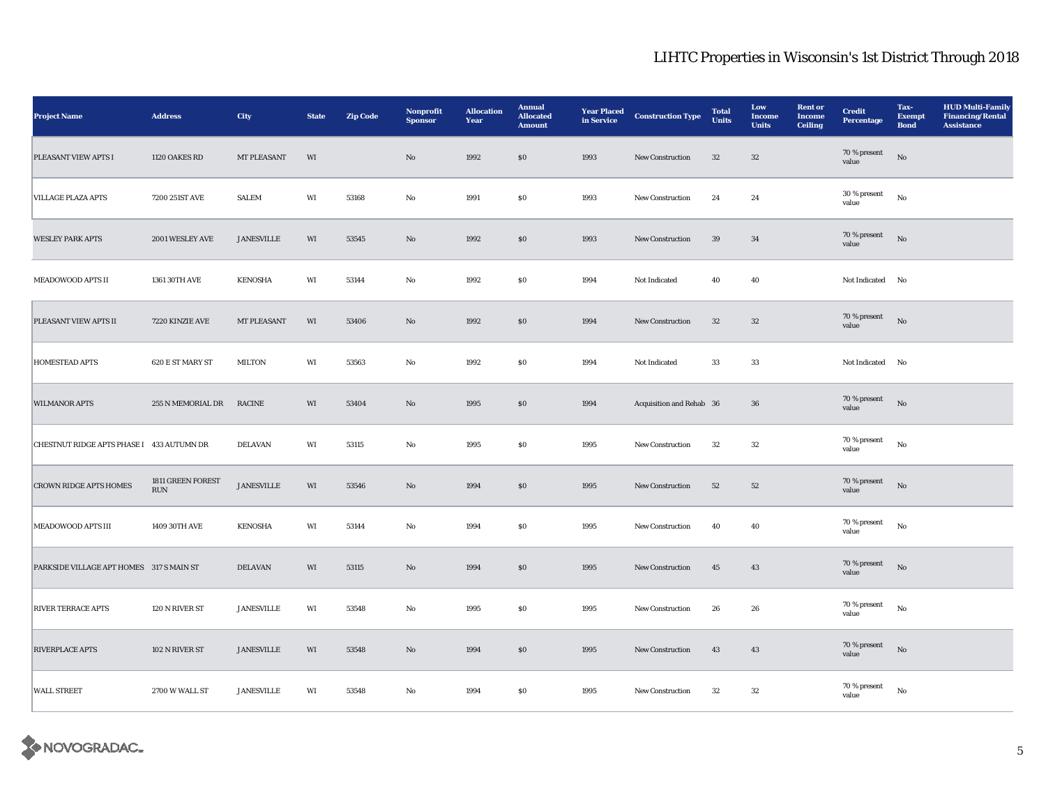| <b>Project Name</b>                       | <b>Address</b>                 | City              | <b>State</b> | <b>Zip Code</b> | Nonprofit<br><b>Sponsor</b> | <b>Allocation</b><br>Year | <b>Annual</b><br><b>Allocated</b><br><b>Amount</b> | <b>Year Placed</b><br>in Service | <b>Construction Type</b> | <b>Total</b><br><b>Units</b> | Low<br><b>Income</b><br><b>Units</b> | <b>Rent or</b><br><b>Income</b><br><b>Ceiling</b> | <b>Credit</b><br><b>Percentage</b> | Tax-<br><b>Exempt</b><br><b>Bond</b> | <b>HUD Multi-Family</b><br><b>Financing/Rental</b><br><b>Assistance</b> |
|-------------------------------------------|--------------------------------|-------------------|--------------|-----------------|-----------------------------|---------------------------|----------------------------------------------------|----------------------------------|--------------------------|------------------------------|--------------------------------------|---------------------------------------------------|------------------------------------|--------------------------------------|-------------------------------------------------------------------------|
| PLEASANT VIEW APTS I                      | 1120 OAKES RD                  | MT PLEASANT       | WI           |                 | $\rm No$                    | 1992                      | $\$0$                                              | 1993                             | New Construction         | $32\,$                       | $32\,$                               |                                                   | 70 % present<br>value              | $_{\rm No}$                          |                                                                         |
| <b>VILLAGE PLAZA APTS</b>                 | 7200 251ST AVE                 | <b>SALEM</b>      | WI           | 53168           | No                          | 1991                      | $\$0$                                              | 1993                             | New Construction         | 24                           | 24                                   |                                                   | 30 % present<br>value              | $_{\rm No}$                          |                                                                         |
| <b>WESLEY PARK APTS</b>                   | 2001 WESLEY AVE                | <b>JANESVILLE</b> | WI           | 53545           | $\mathbf{N}\mathbf{o}$      | 1992                      | $\$0$                                              | 1993                             | New Construction         | 39                           | 34                                   |                                                   | 70 % present<br>value              | No                                   |                                                                         |
| MEADOWOOD APTS II                         | 1361 30TH AVE                  | <b>KENOSHA</b>    | WI           | 53144           | No                          | 1992                      | $\$0$                                              | 1994                             | Not Indicated            | 40                           | 40                                   |                                                   | Not Indicated No                   |                                      |                                                                         |
| PLEASANT VIEW APTS II                     | 7220 KINZIE AVE                | MT PLEASANT       | WI           | 53406           | $\rm No$                    | 1992                      | $\$0$                                              | 1994                             | New Construction         | $32\,$                       | $32\,$                               |                                                   | 70 % present<br>value              | $_{\rm No}$                          |                                                                         |
| <b>HOMESTEAD APTS</b>                     | 620 E ST MARY ST               | <b>MILTON</b>     | WI           | 53563           | $\mathbf {No}$              | 1992                      | $\$0$                                              | 1994                             | Not Indicated            | 33                           | 33                                   |                                                   | Not Indicated No                   |                                      |                                                                         |
| <b>WILMANOR APTS</b>                      | 255 N MEMORIAL DR              | RACINE            | WI           | 53404           | $\mathbf{No}$               | 1995                      | $\$0$                                              | 1994                             | Acquisition and Rehab 36 |                              | 36                                   |                                                   | 70 % present<br>value              | No                                   |                                                                         |
| CHESTNUT RIDGE APTS PHASE I 433 AUTUMN DR |                                | DELAVAN           | WI           | 53115           | No                          | 1995                      | $\$0$                                              | 1995                             | New Construction         | 32                           | $32\,$                               |                                                   | 70 % present<br>value              | $_{\rm No}$                          |                                                                         |
| <b>CROWN RIDGE APTS HOMES</b>             | 1811 GREEN FOREST<br>$\rm RUN$ | <b>JANESVILLE</b> | WI           | 53546           | $\mathbf{N}\mathbf{o}$      | 1994                      | \$0                                                | 1995                             | New Construction         | $52\,$                       | 52                                   |                                                   | 70 % present<br>value              | $_{\rm No}$                          |                                                                         |
| MEADOWOOD APTS III                        | 1409 30TH AVE                  | <b>KENOSHA</b>    | WI           | 53144           | No                          | 1994                      | $\$0$                                              | 1995                             | New Construction         | 40                           | 40                                   |                                                   | 70 % present<br>value              | $_{\rm No}$                          |                                                                         |
| PARKSIDE VILLAGE APT HOMES 317 S MAIN ST  |                                | <b>DELAVAN</b>    | WI           | 53115           | $\mathbf{N}\mathbf{o}$      | 1994                      | \$0                                                | 1995                             | New Construction         | 45                           | 43                                   |                                                   | 70 % present<br>value              | No                                   |                                                                         |
| <b>RIVER TERRACE APTS</b>                 | 120 N RIVER ST                 | <b>JANESVILLE</b> | WI           | 53548           | No                          | 1995                      | $\boldsymbol{\mathsf{S}}\boldsymbol{\mathsf{O}}$   | 1995                             | New Construction         | 26                           | 26                                   |                                                   | 70 % present<br>value              | $_{\rm No}$                          |                                                                         |
| <b>RIVERPLACE APTS</b>                    | 102 N RIVER ST                 | <b>JANESVILLE</b> | WI           | 53548           | $\mathbf{N}\mathbf{o}$      | 1994                      | \$0                                                | 1995                             | New Construction         | 43                           | 43                                   |                                                   | 70 % present<br>value              | $_{\rm No}$                          |                                                                         |
| <b>WALL STREET</b>                        | 2700 W WALL ST                 | <b>JANESVILLE</b> | WI           | 53548           | No                          | 1994                      | S <sub>0</sub>                                     | 1995                             | <b>New Construction</b>  | 32                           | 32                                   |                                                   | 70 % present<br>value              | No                                   |                                                                         |

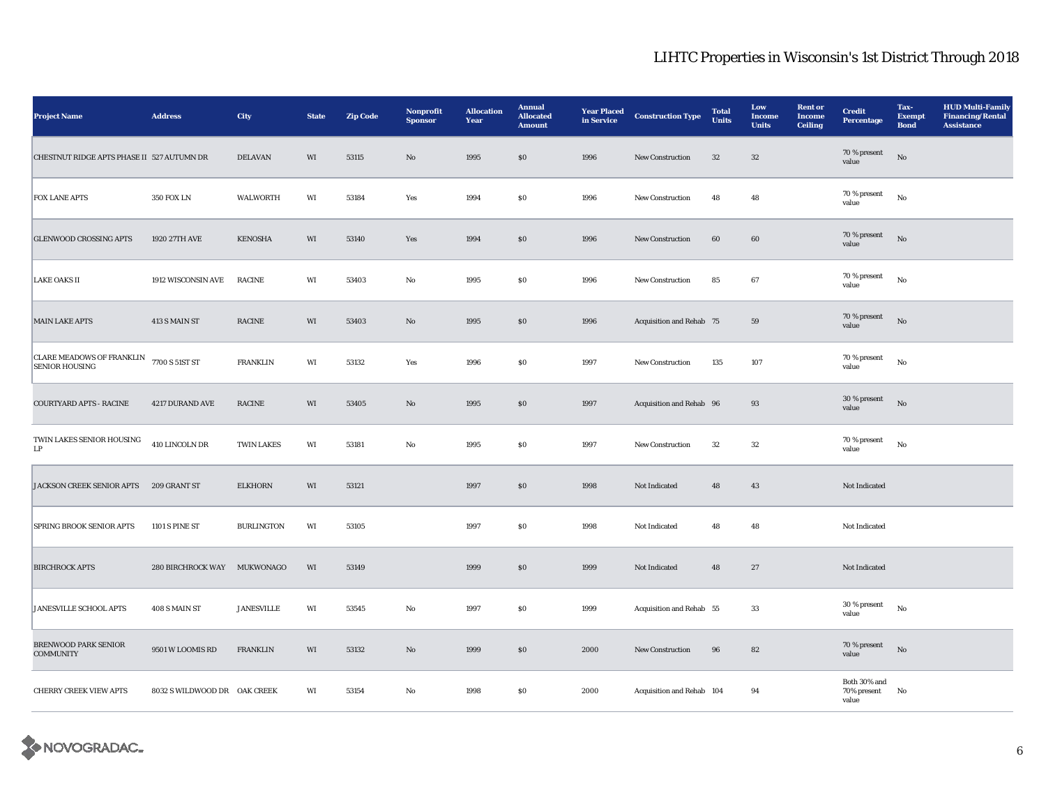| <b>Project Name</b>                                       | <b>Address</b>               | City                    | <b>State</b> | <b>Zip Code</b> | Nonprofit<br><b>Sponsor</b> | <b>Allocation</b><br>Year | <b>Annual</b><br><b>Allocated</b><br><b>Amount</b> | <b>Year Placed</b><br>in Service | <b>Construction Type</b>  | <b>Total</b><br><b>Units</b> | Low<br><b>Income</b><br><b>Units</b> | <b>Rent or</b><br><b>Income</b><br><b>Ceiling</b> | <b>Credit</b><br><b>Percentage</b>      | Tax-<br><b>Exempt</b><br><b>Bond</b> | <b>HUD Multi-Family</b><br><b>Financing/Rental</b><br><b>Assistance</b> |
|-----------------------------------------------------------|------------------------------|-------------------------|--------------|-----------------|-----------------------------|---------------------------|----------------------------------------------------|----------------------------------|---------------------------|------------------------------|--------------------------------------|---------------------------------------------------|-----------------------------------------|--------------------------------------|-------------------------------------------------------------------------|
| CHESTNUT RIDGE APTS PHASE II 527 AUTUMN DR                |                              | <b>DELAVAN</b>          | WI           | 53115           | $\rm\thinspace No$          | 1995                      | $\$0$                                              | 1996                             | New Construction          | $32\,$                       | $32\,$                               |                                                   | 70 % present<br>value                   | $_{\rm No}$                          |                                                                         |
| <b>FOX LANE APTS</b>                                      | <b>350 FOX LN</b>            | WALWORTH                | WI           | 53184           | Yes                         | 1994                      | $\$0$                                              | 1996                             | New Construction          | 48                           | 48                                   |                                                   | 70 % present<br>value                   | $_{\rm No}$                          |                                                                         |
| <b>GLENWOOD CROSSING APTS</b>                             | 1920 27TH AVE                | <b>KENOSHA</b>          | WI           | 53140           | Yes                         | 1994                      | $\$0$                                              | 1996                             | New Construction          | $60\,$                       | 60                                   |                                                   | 70 % present<br>value                   | No                                   |                                                                         |
| <b>LAKE OAKS II</b>                                       | 1912 WISCONSIN AVE           | <b>RACINE</b>           | WI           | 53403           | No                          | 1995                      | $\$0$                                              | 1996                             | New Construction          | 85                           | 67                                   |                                                   | 70 % present<br>value                   | No                                   |                                                                         |
| <b>MAIN LAKE APTS</b>                                     | 413 S MAIN ST                | $\operatorname{RACINE}$ | WI           | 53403           | $\mathbf {No}$              | 1995                      | $\$0$                                              | 1996                             | Acquisition and Rehab 75  |                              | 59                                   |                                                   | 70 % present<br>value                   | $_{\rm No}$                          |                                                                         |
| <b>CLARE MEADOWS OF FRANKLIN</b><br><b>SENIOR HOUSING</b> | 7700 S 51ST ST               | <b>FRANKLIN</b>         | WI           | 53132           | Yes                         | 1996                      | $\$0$                                              | 1997                             | New Construction          | 135                          | 107                                  |                                                   | 70 % present<br>value                   | $_{\rm No}$                          |                                                                         |
| <b>COURTYARD APTS - RACINE</b>                            | 4217 DURAND AVE              | RACINE                  | WI           | 53405           | $\mathbf{No}$               | 1995                      | $\$0$                                              | 1997                             | Acquisition and Rehab 96  |                              | 93                                   |                                                   | 30 % present<br>value                   | No                                   |                                                                         |
| TWIN LAKES SENIOR HOUSING<br>LP                           | 410 LINCOLN DR               | <b>TWIN LAKES</b>       | WI           | 53181           | No                          | 1995                      | $\$0$                                              | 1997                             | New Construction          | $32\,$                       | $32\,$                               |                                                   | 70 % present<br>value                   | $_{\rm No}$                          |                                                                         |
| JACKSON CREEK SENIOR APTS 209 GRANT ST                    |                              | <b>ELKHORN</b>          | WI           | 53121           |                             | 1997                      | $\$0$                                              | 1998                             | Not Indicated             | 48                           | 43                                   |                                                   | Not Indicated                           |                                      |                                                                         |
| <b>SPRING BROOK SENIOR APTS</b>                           | 1101 S PINE ST               | <b>BURLINGTON</b>       | WI           | 53105           |                             | 1997                      | $\$0$                                              | 1998                             | Not Indicated             | 48                           | 48                                   |                                                   | Not Indicated                           |                                      |                                                                         |
| <b>BIRCHROCK APTS</b>                                     | 280 BIRCHROCK WAY MUKWONAGO  |                         | WI           | 53149           |                             | 1999                      | $\$0$                                              | 1999                             | Not Indicated             | 48                           | 27                                   |                                                   | Not Indicated                           |                                      |                                                                         |
| <b>JANESVILLE SCHOOL APTS</b>                             | 408 S MAIN ST                | <b>JANESVILLE</b>       | WI           | 53545           | No                          | 1997                      | ${\bf S0}$                                         | 1999                             | Acquisition and Rehab 55  |                              | 33                                   |                                                   | 30 % present<br>value                   | $_{\rm No}$                          |                                                                         |
| <b>BRENWOOD PARK SENIOR</b><br><b>COMMUNITY</b>           | 9501 W LOOMIS RD             | <b>FRANKLIN</b>         | WI           | 53132           | $\mathbf{No}$               | 1999                      | \$0                                                | 2000                             | New Construction          | 96                           | 82                                   |                                                   | 70 % present<br>value                   | $_{\rm No}$                          |                                                                         |
| <b>CHERRY CREEK VIEW APTS</b>                             | 8032 S WILDWOOD DR OAK CREEK |                         | WI           | 53154           | No                          | 1998                      | SO.                                                | 2000                             | Acquisition and Rehab 104 |                              | 94                                   |                                                   | Both $30\%$ and<br>70% present<br>value | No                                   |                                                                         |

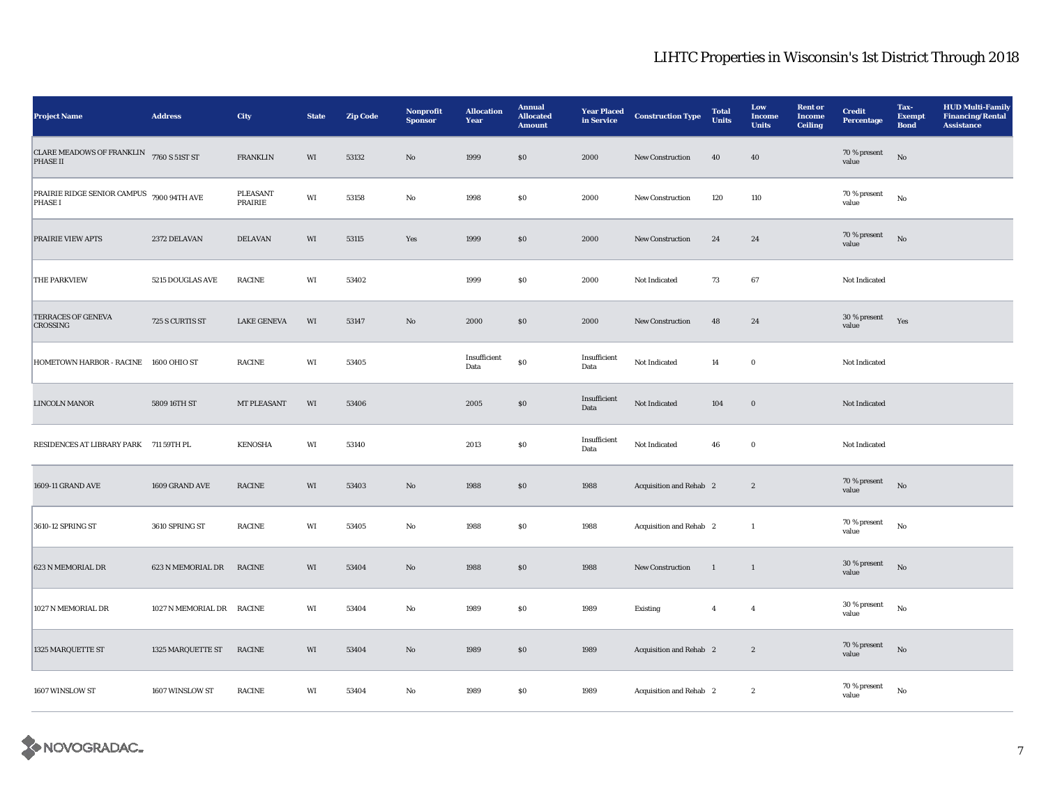| <b>Project Name</b>                                  | <b>Address</b>     | City                | <b>State</b> | <b>Zip Code</b> | Nonprofit<br><b>Sponsor</b> | <b>Allocation</b><br>Year | <b>Annual</b><br><b>Allocated</b><br><b>Amount</b> | <b>Year Placed</b><br>in Service | <b>Construction Type</b> | <b>Total</b><br><b>Units</b> | Low<br><b>Income</b><br><b>Units</b> | <b>Rent or</b><br><b>Income</b><br><b>Ceiling</b> | <b>Credit</b><br><b>Percentage</b> | Tax-<br><b>Exempt</b><br><b>Bond</b> | <b>HUD Multi-Family</b><br><b>Financing/Rental</b><br><b>Assistance</b> |
|------------------------------------------------------|--------------------|---------------------|--------------|-----------------|-----------------------------|---------------------------|----------------------------------------------------|----------------------------------|--------------------------|------------------------------|--------------------------------------|---------------------------------------------------|------------------------------------|--------------------------------------|-------------------------------------------------------------------------|
| <b>CLARE MEADOWS OF FRANKLIN</b><br>PHASE II         | 7760 S 51ST ST     | FRANKLIN            | WI           | 53132           | $\mathbf{No}$               | 1999                      | ${\bf S0}$                                         | 2000                             | New Construction         | ${\bf 40}$                   | 40                                   |                                                   | 70 % present<br>value              | $_{\rm No}$                          |                                                                         |
| PRAIRIE RIDGE SENIOR CAMPUS 7900 94TH AVE<br>PHASE I |                    | PLEASANT<br>PRAIRIE | WI           | 53158           | No                          | 1998                      | $\$0$                                              | 2000                             | New Construction         | 120                          | 110                                  |                                                   | 70 % present<br>value              | $_{\rm No}$                          |                                                                         |
| PRAIRIE VIEW APTS                                    | 2372 DELAVAN       | <b>DELAVAN</b>      | WI           | 53115           | Yes                         | 1999                      | $\$0$                                              | 2000                             | <b>New Construction</b>  | 24                           | 24                                   |                                                   | 70 % present<br>value              | $_{\rm No}$                          |                                                                         |
| <b>THE PARKVIEW</b>                                  | 5215 DOUGLAS AVE   | <b>RACINE</b>       | WI           | 53402           |                             | 1999                      | $\$0$                                              | 2000                             | Not Indicated            | 73                           | 67                                   |                                                   | Not Indicated                      |                                      |                                                                         |
| <b>TERRACES OF GENEVA</b><br><b>CROSSING</b>         | 725 S CURTIS ST    | <b>LAKE GENEVA</b>  | WI           | 53147           | $\mathbf{N}\mathbf{o}$      | 2000                      | \$0                                                | 2000                             | <b>New Construction</b>  | 48                           | 24                                   |                                                   | 30 % present<br>value              | Yes                                  |                                                                         |
| HOMETOWN HARBOR - RACINE                             | 1600 OHIO ST       | <b>RACINE</b>       | WI           | 53405           |                             | Insufficient<br>Data      | ${\bf S0}$                                         | Insufficient<br>Data             | Not Indicated            | 14                           | $\mathbf 0$                          |                                                   | Not Indicated                      |                                      |                                                                         |
| <b>LINCOLN MANOR</b>                                 | 5809 16TH ST       | <b>MT PLEASANT</b>  | WI           | 53406           |                             | 2005                      | \$0                                                | Insufficient<br>Data             | Not Indicated            | 104                          | $\boldsymbol{0}$                     |                                                   | Not Indicated                      |                                      |                                                                         |
| RESIDENCES AT LIBRARY PARK 711 59TH PL               |                    | <b>KENOSHA</b>      | WI           | 53140           |                             | 2013                      | SO.                                                | Insufficient<br>Data             | Not Indicated            | 46                           | $\bf{0}$                             |                                                   | Not Indicated                      |                                      |                                                                         |
| 1609-11 GRAND AVE                                    | 1609 GRAND AVE     | RACINE              | WI           | 53403           | $\mathbf{No}$               | 1988                      | \$0                                                | 1988                             | Acquisition and Rehab 2  |                              | $\boldsymbol{2}$                     |                                                   | 70 % present<br>value              | $\rm No$                             |                                                                         |
| 3610-12 SPRING ST                                    | 3610 SPRING ST     | <b>RACINE</b>       | WI           | 53405           | No                          | 1988                      | SO.                                                | 1988                             | Acquisition and Rehab 2  |                              | $\mathbf{1}$                         |                                                   | 70 % present<br>value              | $_{\rm No}$                          |                                                                         |
| 623 N MEMORIAL DR                                    | 623 N MEMORIAL DR  | <b>RACINE</b>       | WI           | 53404           | $\mathbf{No}$               | 1988                      | $\$0$                                              | 1988                             | New Construction         | $\mathbf{1}$                 | $\mathbf{1}$                         |                                                   | $30\,\%$ present<br>value          | $\rm No$                             |                                                                         |
| 1027 N MEMORIAL DR                                   | 1027 N MEMORIAL DR | <b>RACINE</b>       | WI           | 53404           | No                          | 1989                      | <b>SO</b>                                          | 1989                             | Existing                 | $\overline{4}$               | $\boldsymbol{4}$                     |                                                   | 30 % present<br>value              | No                                   |                                                                         |
| 1325 MARQUETTE ST                                    | 1325 MARQUETTE ST  | RACINE              | WI           | 53404           | No                          | 1989                      | \$0                                                | 1989                             | Acquisition and Rehab 2  |                              | $\boldsymbol{2}$                     |                                                   | 70 % present<br>value              | No                                   |                                                                         |
| 1607 WINSLOW ST                                      | 1607 WINSLOW ST    | <b>RACINE</b>       | WI           | 53404           | No                          | 1989                      | $\$0$                                              | 1989                             | Acquisition and Rehab 2  |                              | $\boldsymbol{2}$                     |                                                   | 70 % present<br>value              | $_{\rm No}$                          |                                                                         |